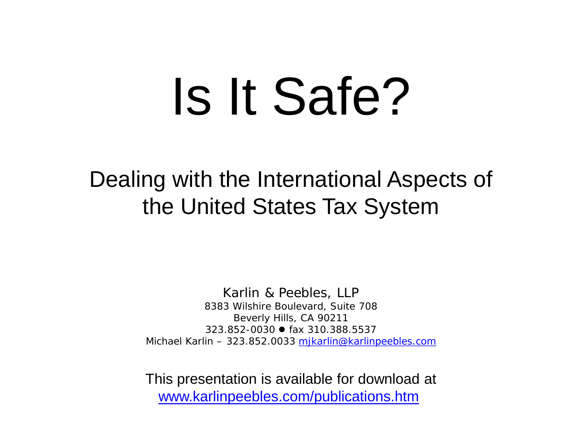# Is It Safe?

Dealing with the International Aspects of the United States Tax System

> Karlin & Peebles, LLP 8383 Wilshire Boulevard, Suite 708 Beverly Hills, CA 90211 323.852-0030 fax 310.388.5537 Michael Karlin – 323.852.0033 [mjkarlin@karlinpeebles.com](mailto:mjkarlin@karlinpeebles.com)

> This presentation is available for download at [www.karlinpeebles.com/publications.htm](http://www.karlinpeebles.com/publications.htm)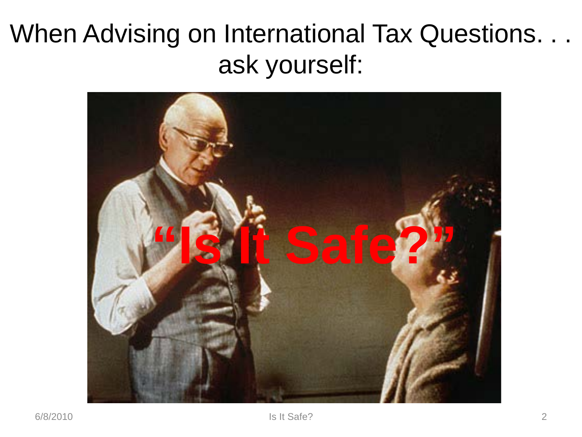# When Advising on International Tax Questions. . . ask yourself:

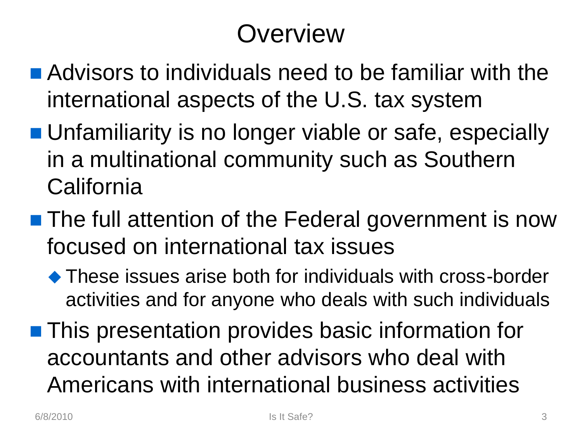# **Overview**

- Advisors to individuals need to be familiar with the international aspects of the U.S. tax system
- **Unfamiliarity is no longer viable or safe, especially** in a multinational community such as Southern California
- **The full attention of the Federal government is now** focused on international tax issues
	- These issues arise both for individuals with cross-border activities and for anyone who deals with such individuals
- **This presentation provides basic information for** accountants and other advisors who deal with Americans with international business activities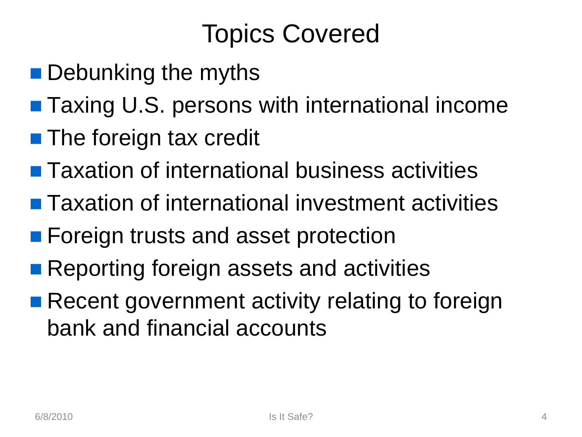# Topics Covered

- **Debunking the myths**
- Taxing U.S. persons with international income
- **The foreign tax credit**
- **Taxation of international business activities**
- **Taxation of international investment activities**
- **Foreign trusts and asset protection**
- Reporting foreign assets and activities
- Recent government activity relating to foreign bank and financial accounts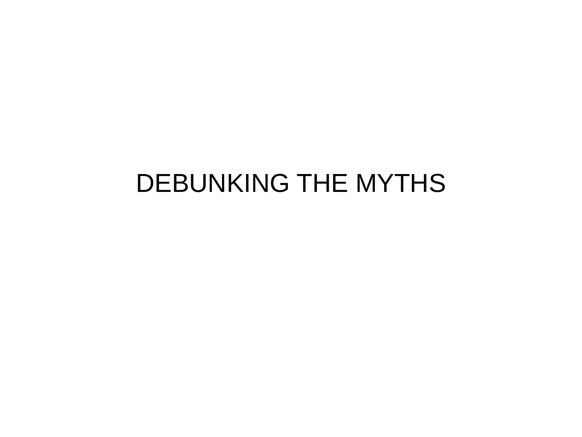# DEBUNKING THE MYTHS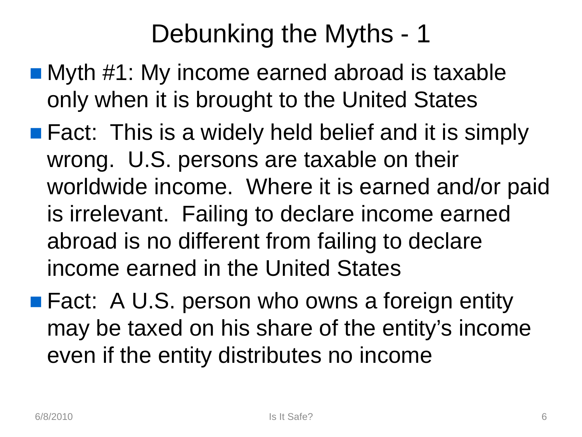- Myth #1: My income earned abroad is taxable only when it is brought to the United States
- **Fact:** This is a widely held belief and it is simply wrong. U.S. persons are taxable on their worldwide income. Where it is earned and/or paid is irrelevant. Failing to declare income earned abroad is no different from failing to declare income earned in the United States
- Fact: A U.S. person who owns a foreign entity may be taxed on his share of the entity's income even if the entity distributes no income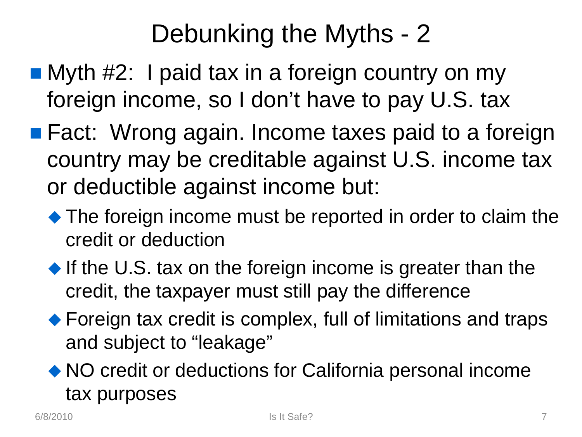- Myth #2: I paid tax in a foreign country on my foreign income, so I don't have to pay U.S. tax
- **Fact: Wrong again. Income taxes paid to a foreign** country may be creditable against U.S. income tax or deductible against income but:
	- The foreign income must be reported in order to claim the credit or deduction
	- If the U.S. tax on the foreign income is greater than the credit, the taxpayer must still pay the difference
	- ◆ Foreign tax credit is complex, full of limitations and traps and subject to "leakage"
	- NO credit or deductions for California personal income tax purposes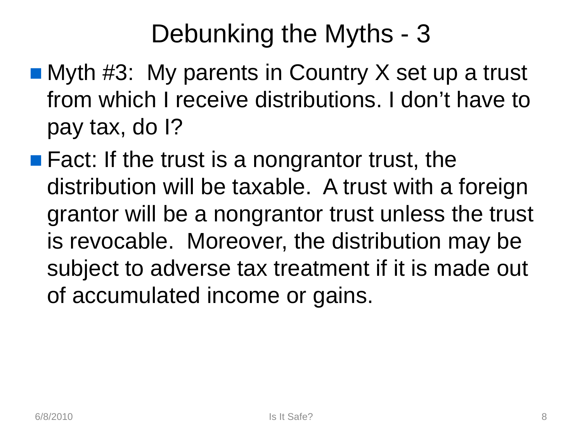- $\blacksquare$  Myth #3: My parents in Country X set up a trust from which I receive distributions. I don't have to pay tax, do I?
- $\blacksquare$  Fact: If the trust is a nongrantor trust, the distribution will be taxable. A trust with a foreign grantor will be a nongrantor trust unless the trust is revocable. Moreover, the distribution may be subject to adverse tax treatment if it is made out of accumulated income or gains.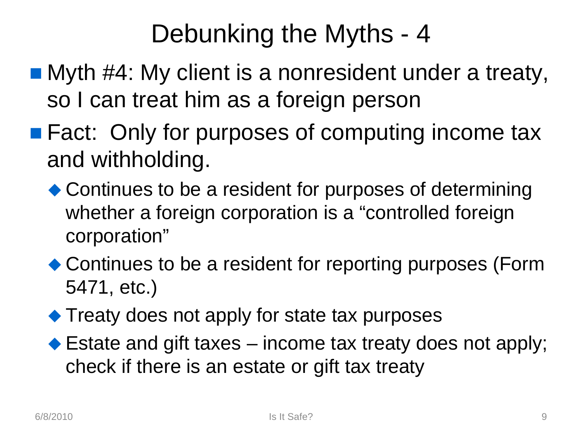- Myth #4: My client is a nonresident under a treaty, so I can treat him as a foreign person
- **Fact: Only for purposes of computing income tax** and withholding.
	- ◆ Continues to be a resident for purposes of determining whether a foreign corporation is a "controlled foreign corporation"
	- ◆ Continues to be a resident for reporting purposes (Form 5471, etc.)
	- ◆ Treaty does not apply for state tax purposes
	- ◆ Estate and gift taxes income tax treaty does not apply; check if there is an estate or gift tax treaty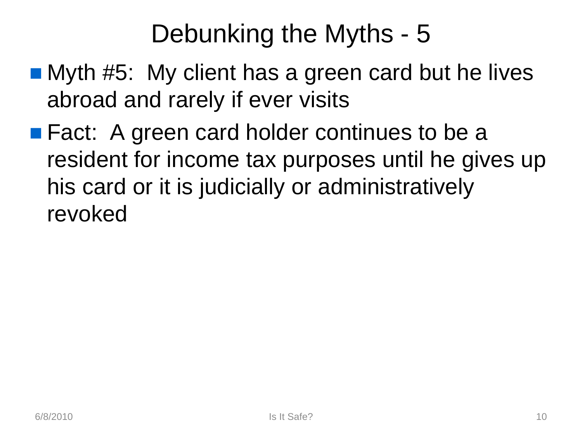- Myth #5: My client has a green card but he lives abroad and rarely if ever visits
- Fact: A green card holder continues to be a resident for income tax purposes until he gives up his card or it is judicially or administratively revoked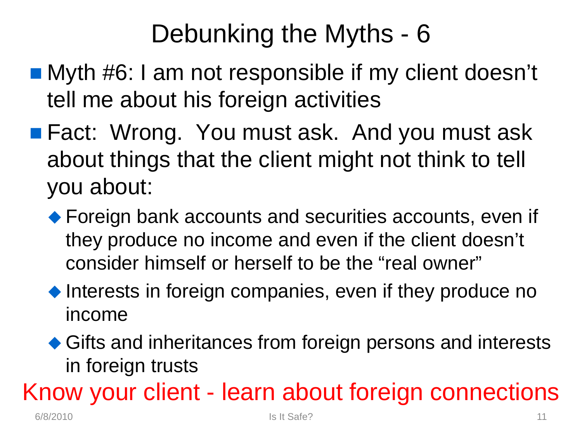- Myth #6: I am not responsible if my client doesn't tell me about his foreign activities
- Fact: Wrong. You must ask. And you must ask about things that the client might not think to tell you about:
	- ◆ Foreign bank accounts and securities accounts, even if they produce no income and even if the client doesn't consider himself or herself to be the "real owner"
	- $\bullet$  Interests in foreign companies, even if they produce no income
	- ◆ Gifts and inheritances from foreign persons and interests in foreign trusts

Know your client - learn about foreign connections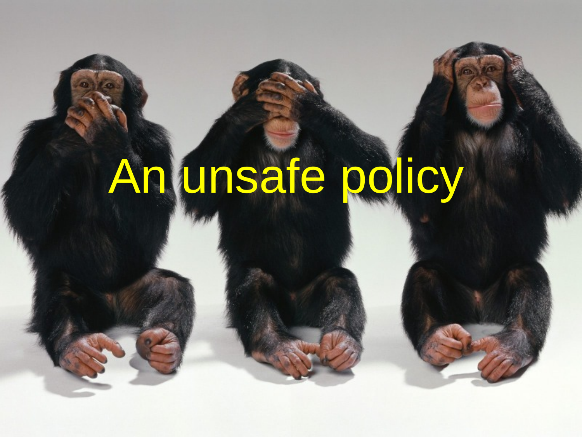# An unsafe policy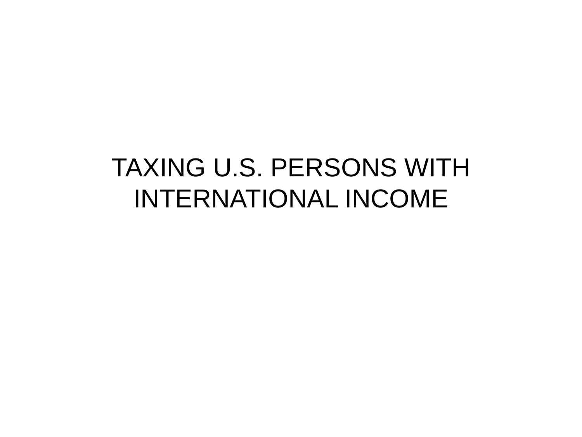# TAXING U.S. PERSONS WITH INTERNATIONAL INCOME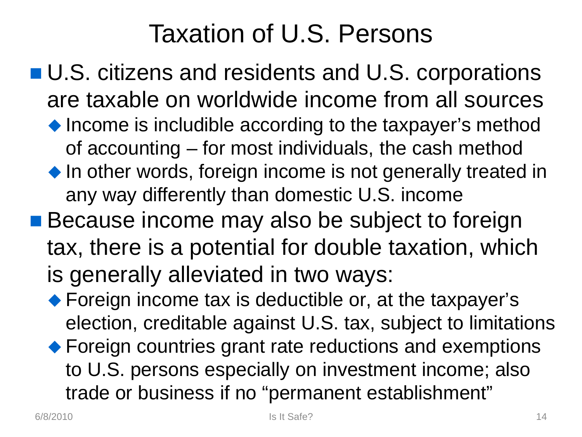# Taxation of U.S. Persons

- U.S. citizens and residents and U.S. corporations are taxable on worldwide income from all sources
	- ◆ Income is includible according to the taxpayer's method of accounting – for most individuals, the cash method
	- $\bullet$  In other words, foreign income is not generally treated in any way differently than domestic U.S. income
- Because income may also be subject to foreign tax, there is a potential for double taxation, which is generally alleviated in two ways:
	- ◆ Foreign income tax is deductible or, at the taxpayer's election, creditable against U.S. tax, subject to limitations ◆ Foreign countries grant rate reductions and exemptions to U.S. persons especially on investment income; also trade or business if no "permanent establishment"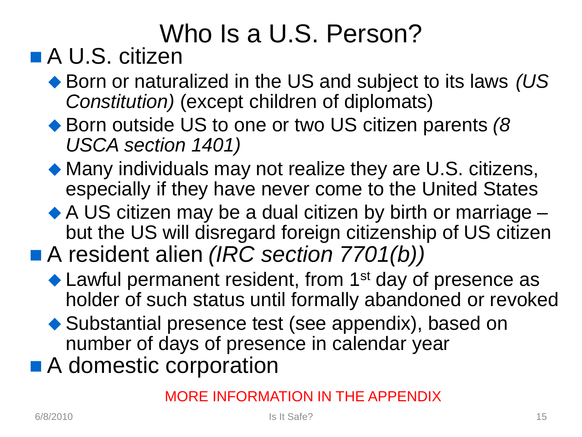# Who Is a U.S. Person?

### ■ A U.S. citizen

- ◆ Born or naturalized in the US and subject to its laws *(US Constitution)* (except children of diplomats)
- ◆ Born outside US to one or two US citizen parents (8 *USCA section 1401)*
- Many individuals may not realize they are U.S. citizens, especially if they have never come to the United States
- ◆ A US citizen may be a dual citizen by birth or marriage but the US will disregard foreign citizenship of US citizen
- A resident alien *(IRC section 7701(b))* 
	- ◆ Lawful permanent resident, from 1<sup>st</sup> day of presence as holder of such status until formally abandoned or revoked
	- ◆ Substantial presence test (see appendix), based on number of days of presence in calendar year
- A domestic corporation

#### MORE INFORMATION IN THE APPENDIX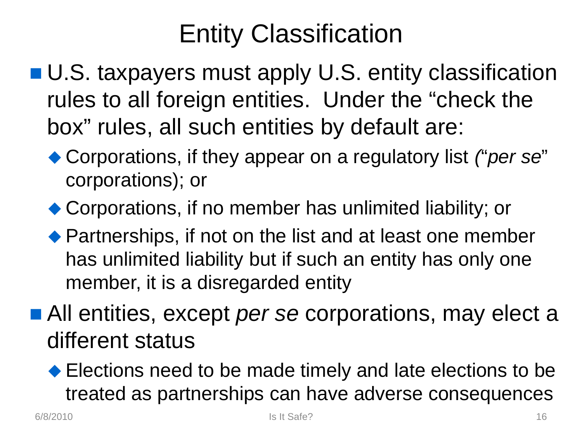# Entity Classification

- U.S. taxpayers must apply U.S. entity classification rules to all foreign entities. Under the "check the box" rules, all such entities by default are:
	- Corporations, if they appear on a regulatory list *(*"*per se*" corporations); or
	- ◆ Corporations, if no member has unlimited liability; or
	- ◆ Partnerships, if not on the list and at least one member has unlimited liability but if such an entity has only one member, it is a disregarded entity
- All entities, except *per se* corporations, may elect a different status
	- ◆ Elections need to be made timely and late elections to be treated as partnerships can have adverse consequences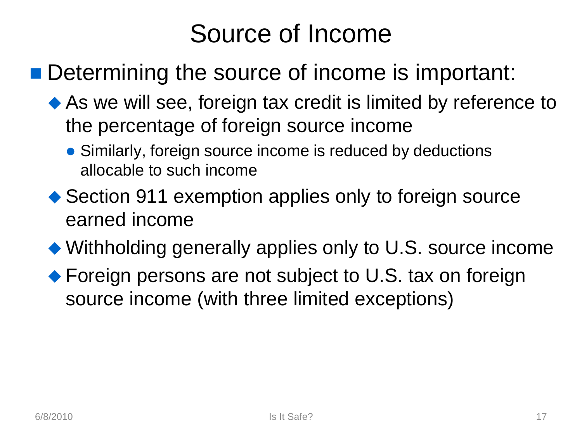# Source of Income

#### ■ Determining the source of income is important:

- ◆ As we will see, foreign tax credit is limited by reference to the percentage of foreign source income
	- Similarly, foreign source income is reduced by deductions allocable to such income
- ◆ Section 911 exemption applies only to foreign source earned income
- Withholding generally applies only to U.S. source income
- ◆ Foreign persons are not subject to U.S. tax on foreign source income (with three limited exceptions)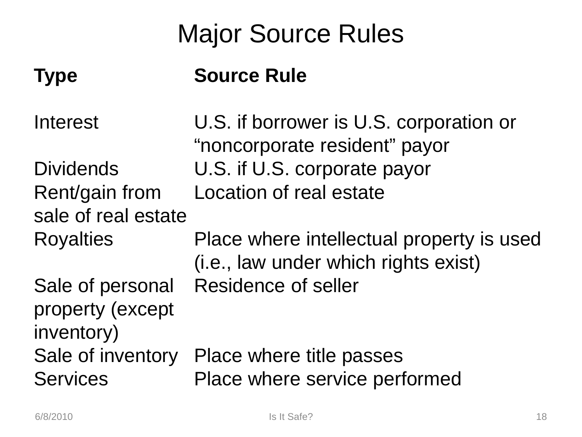# Major Source Rules

#### **Type Source Rule**

Interest U.S. if borrower is U.S. corporation or "noncorporate resident" payor Dividends U.S. if U.S. corporate payor Rent/gain from sale of real estate Location of real estate Royalties Place where intellectual property is used (i.e., law under which rights exist) Sale of personal property (except inventory) Residence of seller Sale of inventory Place where title passes Services Place where service performed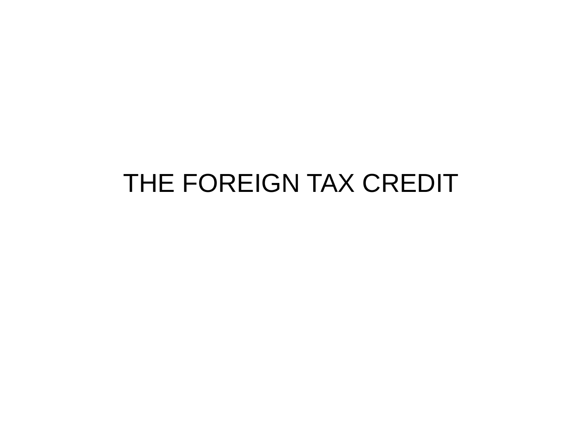## THE FOREIGN TAX CREDIT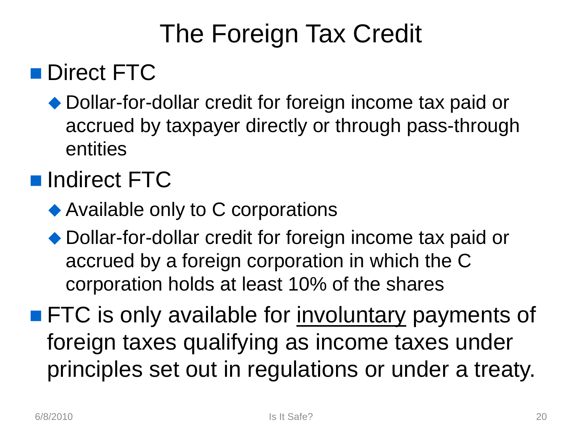# The Foreign Tax Credit

#### Direct FTC

◆ Dollar-for-dollar credit for foreign income tax paid or accrued by taxpayer directly or through pass-through entities

#### **Indirect FTC**

- ◆ Available only to C corporations
- ◆ Dollar-for-dollar credit for foreign income tax paid or accrued by a foreign corporation in which the C corporation holds at least 10% of the shares

**FTC** is only available for involuntary payments of foreign taxes qualifying as income taxes under principles set out in regulations or under a treaty.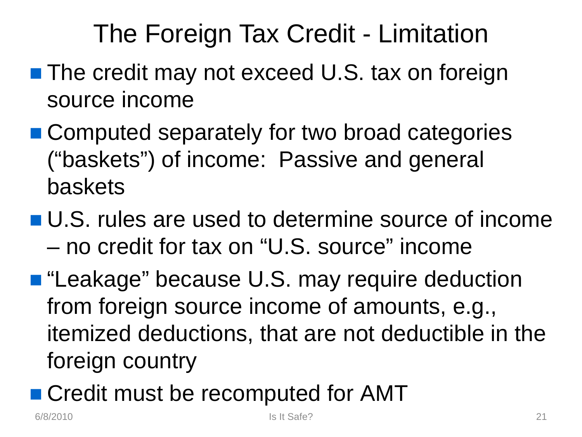# The Foreign Tax Credit - Limitation

- **The credit may not exceed U.S. tax on foreign** source income
- Computed separately for two broad categories ("baskets") of income: Passive and general baskets
- U.S. rules are used to determine source of income – no credit for tax on "U.S. source" income
- "Leakage" because U.S. may require deduction from foreign source income of amounts, e.g., itemized deductions, that are not deductible in the foreign country
- Credit must be recomputed for AMT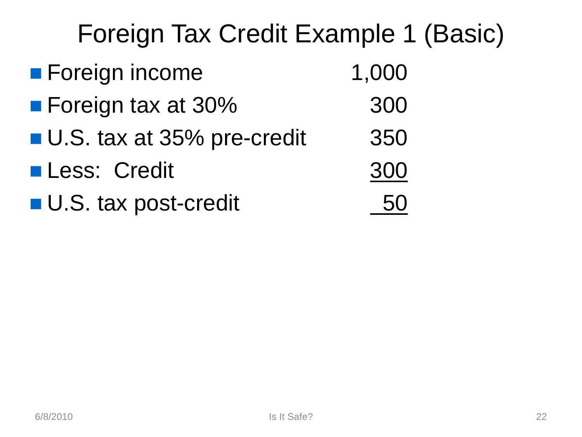# Foreign Tax Credit Example 1 (Basic) ■ Foreign income 1,000 ■ Foreign tax at 30% 300 ■ U.S. tax at 35% pre-credit 350 ■ Less: Credit 300 ■ U.S. tax post-credit 60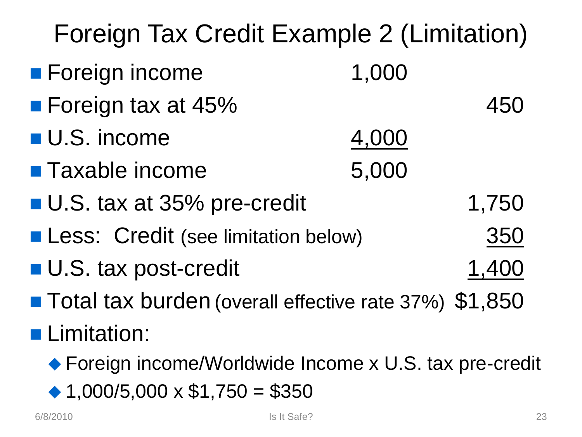| Foreign Tax Credit Example 2 (Limitation)               |       |       |  |  |
|---------------------------------------------------------|-------|-------|--|--|
| <b>Foreign income</b>                                   | 1,000 |       |  |  |
| <b>Foreign tax at 45%</b>                               |       | 450   |  |  |
| <b>U.S. income</b>                                      | 4,000 |       |  |  |
| <b>Taxable income</b>                                   | 5,000 |       |  |  |
| <b>U.S. tax at 35% pre-credit</b>                       |       | 1,750 |  |  |
| <b>Less: Credit (see limitation below)</b><br>350       |       |       |  |  |
| <b>U.S. tax post-credit</b><br>1,400                    |       |       |  |  |
| ■ Total tax burden (overall effective rate 37%) \$1,850 |       |       |  |  |
| <b>Limitation:</b>                                      |       |       |  |  |
| ◆ Foreign income/Worldwide Income x U.S. tax pre-credit |       |       |  |  |
| ◆ 1,000/5,000 $\times$ \$1,750 = \$350                  |       |       |  |  |

6/8/2010 **Is It Safe?** 23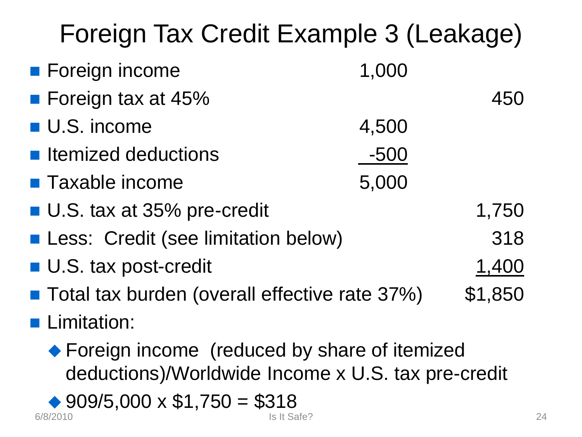| Foreign Tax Credit Example 3 (Leakage)                                                               |             |         |
|------------------------------------------------------------------------------------------------------|-------------|---------|
| <b>E</b> Foreign income                                                                              | 1,000       |         |
| ■ Foreign tax at 45%                                                                                 |             | 450     |
| <b>U.S. income</b>                                                                                   | 4,500       |         |
| ■ Itemized deductions                                                                                | $-500$      |         |
| <b>Taxable income</b>                                                                                | 5,000       |         |
| ■ U.S. tax at 35% pre-credit                                                                         |             | 1,750   |
| <b>Less: Credit (see limitation below)</b>                                                           |             | 318     |
| U.S. tax post-credit                                                                                 |             | 1,400   |
| ■ Total tax burden (overall effective rate 37%)                                                      |             | \$1,850 |
| <b>Limitation:</b>                                                                                   |             |         |
| ◆ Foreign income (reduced by share of itemized<br>deductions)/Worldwide Income x U.S. tax pre-credit |             |         |
| ◆ 909/5,000 $\times$ \$1,750 = \$318<br>6/8/2010                                                     | Is It Safe? |         |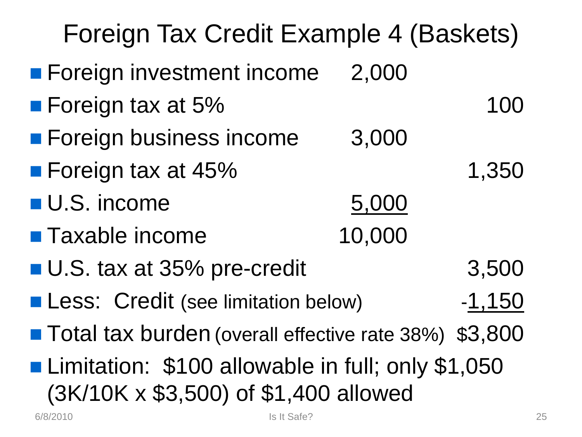| Foreign Tax Credit Example 4 (Baskets)                                                     |        |       |  |  |
|--------------------------------------------------------------------------------------------|--------|-------|--|--|
| <b>Foreign investment income</b>                                                           | 2,000  |       |  |  |
| <b>Foreign tax at 5%</b>                                                                   |        | 100   |  |  |
| <b>Foreign business income</b>                                                             | 3,000  |       |  |  |
| <b>Foreign tax at 45%</b>                                                                  |        | 1,350 |  |  |
| <b>U.S. income</b>                                                                         | 5,000  |       |  |  |
| <b>Taxable income</b>                                                                      | 10,000 |       |  |  |
| <b>U.S. tax at 35% pre-credit</b>                                                          | 3,500  |       |  |  |
| <b>Less: Credit (see limitation below)</b><br>$-1,150$                                     |        |       |  |  |
| ■ Total tax burden (overall effective rate 38%) \$3,800                                    |        |       |  |  |
| Limitation: \$100 allowable in full; only \$1,050<br>(3K/10K x \$3,500) of \$1,400 allowed |        |       |  |  |
| Is It Safe?<br>6/8/2010                                                                    |        | 25    |  |  |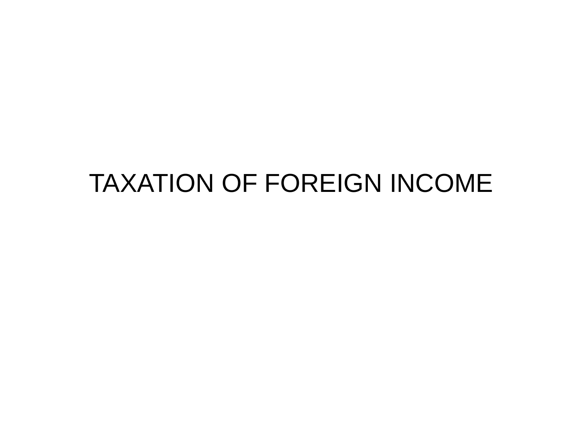# TAXATION OF FOREIGN INCOME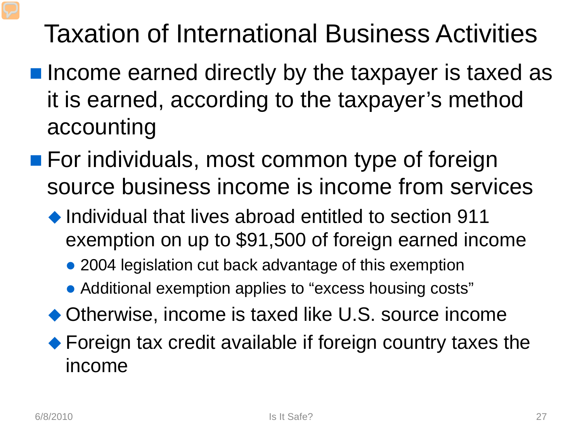# Taxation of International Business Activities

- $\blacksquare$  Income earned directly by the taxpayer is taxed as it is earned, according to the taxpayer's method accounting
- **For individuals, most common type of foreign** source business income is income from services
	- ◆ Individual that lives abroad entitled to section 911 exemption on up to \$91,500 of foreign earned income
		- 2004 legislation cut back advantage of this exemption
		- Additional exemption applies to "excess housing costs"
	- ◆ Otherwise, income is taxed like U.S. source income
	- ◆ Foreign tax credit available if foreign country taxes the income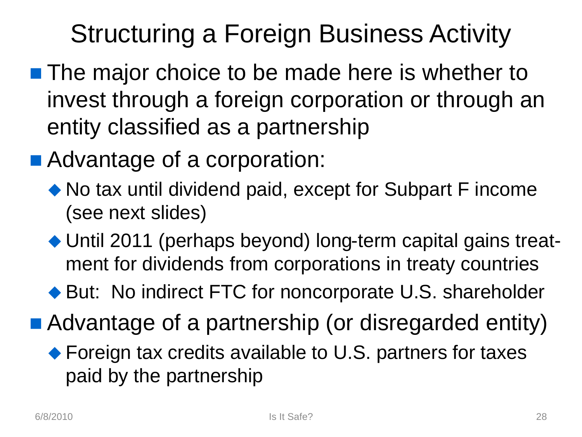# Structuring a Foreign Business Activity

- **The major choice to be made here is whether to** invest through a foreign corporation or through an entity classified as a partnership
- Advantage of a corporation:
	- ◆ No tax until dividend paid, except for Subpart F income (see next slides)
	- ◆ Until 2011 (perhaps beyond) long-term capital gains treatment for dividends from corporations in treaty countries
	- ◆ But: No indirect FTC for noncorporate U.S. shareholder
- Advantage of a partnership (or disregarded entity)
	- ◆ Foreign tax credits available to U.S. partners for taxes paid by the partnership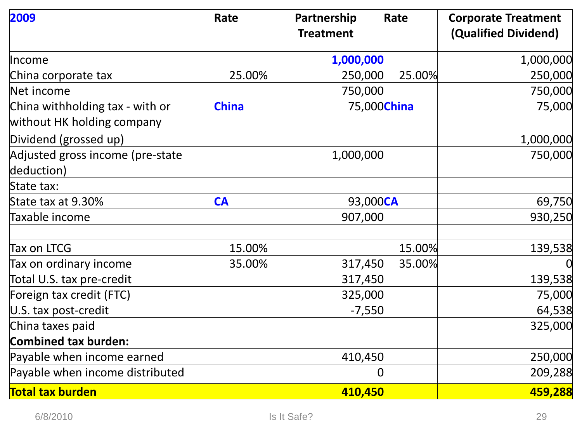| 2009                                                          | Rate         | Partnership<br><b>Treatment</b> | Rate   | <b>Corporate Treatment</b><br>(Qualified Dividend) |
|---------------------------------------------------------------|--------------|---------------------------------|--------|----------------------------------------------------|
| Income                                                        |              | 1,000,000                       |        | 1,000,000                                          |
| China corporate tax                                           | 25.00%       | 250,000                         | 25.00% | 250,000                                            |
| Net income                                                    |              | 750,000                         |        | 750,000                                            |
| China withholding tax - with or<br>without HK holding company | <b>China</b> | 75,000China                     |        | 75,000                                             |
| Dividend (grossed up)                                         |              |                                 |        | 1,000,000                                          |
| Adjusted gross income (pre-state<br>deduction)                |              | 1,000,000                       |        | 750,000                                            |
| State tax:                                                    |              |                                 |        |                                                    |
| State tax at 9.30%                                            | <b>CA</b>    | 93,000CA                        |        | 69,750                                             |
| Taxable income                                                |              | 907,000                         |        | 930,250                                            |
| Tax on LTCG                                                   | 15.00%       |                                 | 15.00% | 139,538                                            |
| Tax on ordinary income                                        | 35.00%       | 317,450                         | 35.00% |                                                    |
| Total U.S. tax pre-credit                                     |              | 317,450                         |        | 139,538                                            |
| Foreign tax credit (FTC)                                      |              | 325,000                         |        | 75,000                                             |
| U.S. tax post-credit                                          |              | $-7,550$                        |        | 64,538                                             |
| China taxes paid                                              |              |                                 |        | 325,000                                            |
| <b>Combined tax burden:</b>                                   |              |                                 |        |                                                    |
| Payable when income earned                                    |              | 410,450                         |        | 250,000                                            |
| Payable when income distributed                               |              |                                 |        | 209,288                                            |
| <b>Total tax burden</b>                                       |              | 410,450                         |        | 459,288                                            |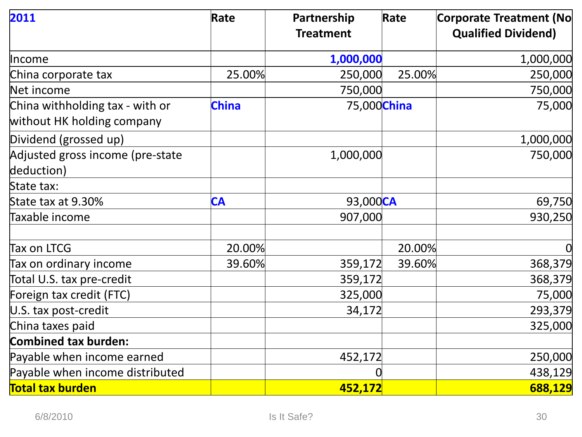| 2011                                                          | Rate         | Partnership<br><b>Treatment</b> | Rate   | Corporate Treatment (No<br><b>Qualified Dividend)</b> |
|---------------------------------------------------------------|--------------|---------------------------------|--------|-------------------------------------------------------|
| <b>Income</b>                                                 |              | 1,000,000                       |        | 1,000,000                                             |
| China corporate tax                                           | 25.00%       | 250,000                         | 25.00% | 250,000                                               |
| Net income                                                    |              | 750,000                         |        | 750,000                                               |
| China withholding tax - with or<br>without HK holding company | <b>China</b> | 75,000China                     |        | 75,000                                                |
| Dividend (grossed up)                                         |              |                                 |        | 1,000,000                                             |
| Adjusted gross income (pre-state<br>deduction)                |              | 1,000,000                       |        | 750,000                                               |
| State tax:                                                    |              |                                 |        |                                                       |
| State tax at 9.30%                                            | <b>CA</b>    | 93,000CA                        |        | 69,750                                                |
| Taxable income                                                |              | 907,000                         |        | 930,250                                               |
| Tax on LTCG                                                   | 20.00%       |                                 | 20.00% |                                                       |
| Tax on ordinary income                                        | 39.60%       | 359,172                         | 39.60% | 368,379                                               |
| Total U.S. tax pre-credit                                     |              | 359,172                         |        | 368,379                                               |
| Foreign tax credit (FTC)                                      |              | 325,000                         |        | 75,000                                                |
| U.S. tax post-credit                                          |              | 34,172                          |        | 293,379                                               |
| China taxes paid                                              |              |                                 |        | 325,000                                               |
| <b>Combined tax burden:</b>                                   |              |                                 |        |                                                       |
| Payable when income earned                                    |              | 452,172                         |        | 250,000                                               |
| Payable when income distributed                               |              |                                 |        | 438,129                                               |
| <b>Total tax burden</b>                                       |              | 452,172                         |        | 688,129                                               |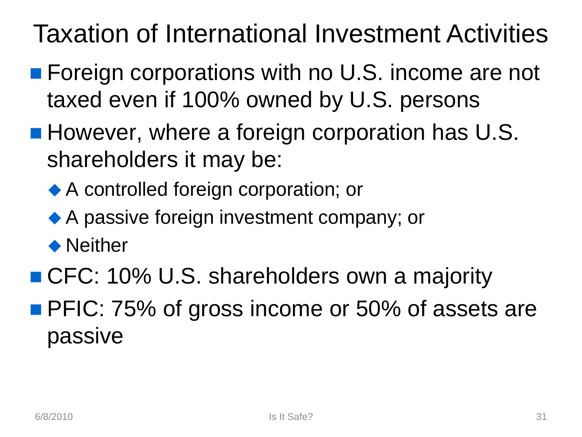# Taxation of International Investment Activities

- **Foreign corporations with no U.S. income are not** taxed even if 100% owned by U.S. persons
- **However, where a foreign corporation has U.S.** shareholders it may be:
	- ◆ A controlled foreign corporation; or
	- ◆ A passive foreign investment company; or
	- ◆ Neither
- CFC: 10% U.S. shareholders own a majority
- **PFIC: 75% of gross income or 50% of assets are** passive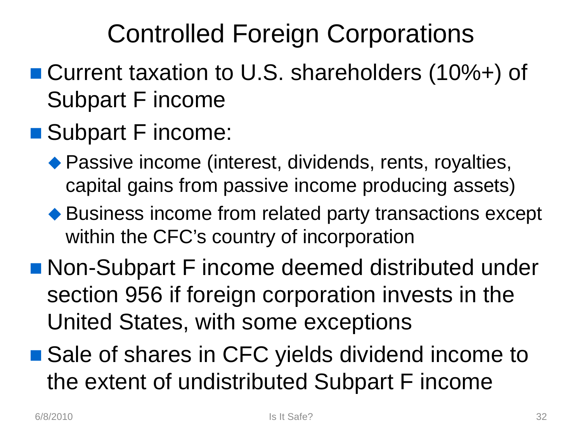# Controlled Foreign Corporations

- Current taxation to U.S. shareholders (10%+) of Subpart F income
- Subpart F income:
	- ◆ Passive income (interest, dividends, rents, royalties, capital gains from passive income producing assets)
	- ◆ Business income from related party transactions except within the CFC's country of incorporation
- Non-Subpart F income deemed distributed under section 956 if foreign corporation invests in the United States, with some exceptions
- Sale of shares in CFC yields dividend income to the extent of undistributed Subpart F income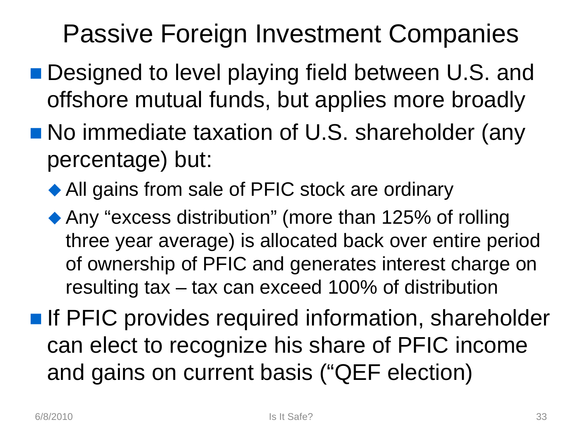# Passive Foreign Investment Companies

- Designed to level playing field between U.S. and offshore mutual funds, but applies more broadly
- No immediate taxation of U.S. shareholder (any percentage) but:
	- ◆ All gains from sale of PFIC stock are ordinary
	- ◆ Any "excess distribution" (more than 125% of rolling three year average) is allocated back over entire period of ownership of PFIC and generates interest charge on resulting tax – tax can exceed 100% of distribution
- **If PFIC provides required information, shareholder** can elect to recognize his share of PFIC income and gains on current basis ("QEF election)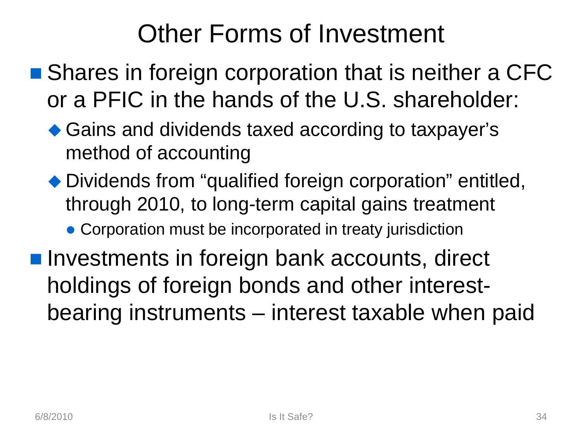# Other Forms of Investment

- Shares in foreign corporation that is neither a CFC or a PFIC in the hands of the U.S. shareholder:
	- ◆ Gains and dividends taxed according to taxpayer's method of accounting
	- ◆ Dividends from "qualified foreign corporation" entitled, through 2010, to long-term capital gains treatment
		- Corporation must be incorporated in treaty jurisdiction
- **Investments in foreign bank accounts, direct** holdings of foreign bonds and other interestbearing instruments – interest taxable when paid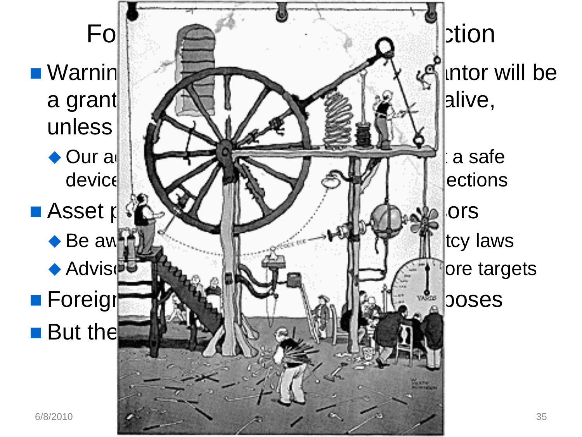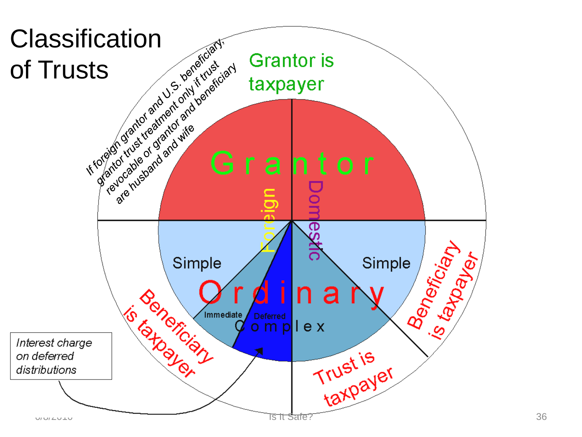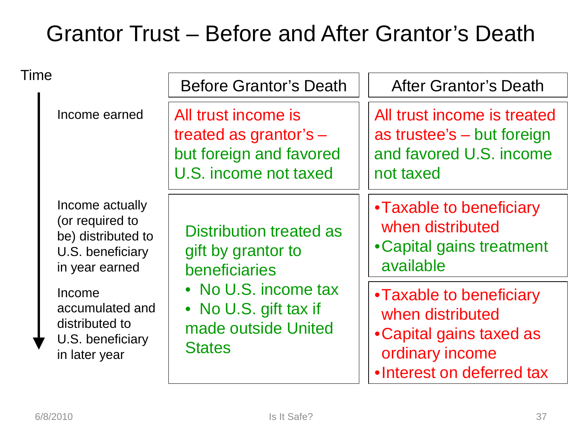#### Grantor Trust – Before and After Grantor's Death

| Time |                                                                                                | <b>Before Grantor's Death</b>                                                                       | <b>After Grantor's Death</b>                                                                                             |  |
|------|------------------------------------------------------------------------------------------------|-----------------------------------------------------------------------------------------------------|--------------------------------------------------------------------------------------------------------------------------|--|
|      | Income earned                                                                                  | All trust income is<br>treated as grantor's $-$<br>but foreign and favored<br>U.S. income not taxed | All trust income is treated<br>as trustee's – but foreign<br>and favored U.S. income<br>not taxed                        |  |
|      | Income actually<br>(or required to<br>be) distributed to<br>U.S. beneficiary<br>in year earned | Distribution treated as<br>gift by grantor to<br>beneficiaries                                      | • Taxable to beneficiary<br>when distributed<br>• Capital gains treatment<br>available                                   |  |
|      | Income<br>accumulated and<br>distributed to<br>U.S. beneficiary<br>in later year               | • No U.S. income tax<br>• No U.S. gift tax if<br>made outside United<br><b>States</b>               | • Taxable to beneficiary<br>when distributed<br>• Capital gains taxed as<br>ordinary income<br>•Interest on deferred tax |  |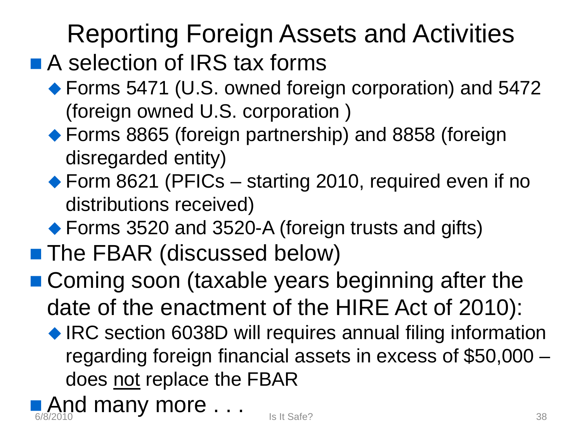# Reporting Foreign Assets and Activities

## ■ A selection of IRS tax forms

- ◆ Forms 5471 (U.S. owned foreign corporation) and 5472 (foreign owned U.S. corporation )
- ◆ Forms 8865 (foreign partnership) and 8858 (foreign disregarded entity)
- ◆ Form 8621 (PFICs starting 2010, required even if no distributions received)
- ◆ Forms 3520 and 3520-A (foreign trusts and gifts)
- **The FBAR (discussed below)**
- Coming soon (taxable years beginning after the date of the enactment of the HIRE Act of 2010):
	- ◆ IRC section 6038D will requires annual filing information regarding foreign financial assets in excess of \$50,000 – does not replace the FBAR

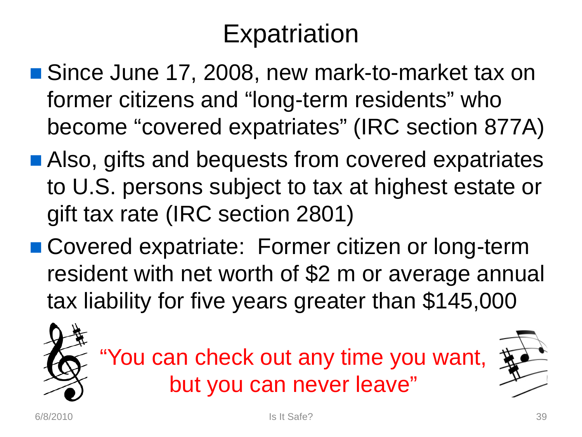# **Expatriation**

- Since June 17, 2008, new mark-to-market tax on former citizens and "long-term residents" who become "covered expatriates" (IRC section 877A)
- Also, gifts and bequests from covered expatriates to U.S. persons subject to tax at highest estate or gift tax rate (IRC section 2801)
- Covered expatriate: Former citizen or long-term resident with net worth of \$2 m or average annual tax liability for five years greater than \$145,000



"You can check out any time you want, but you can never leave"

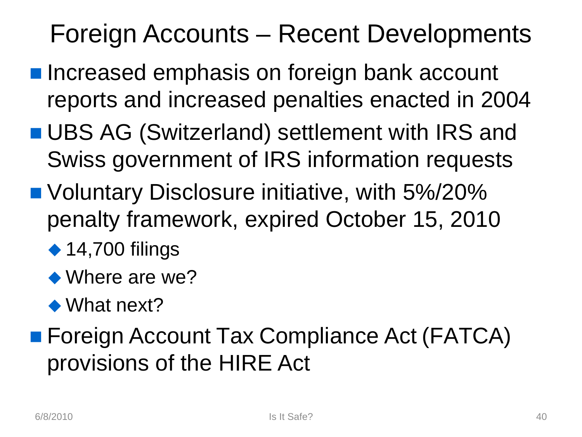# Foreign Accounts – Recent Developments

- **Increased emphasis on foreign bank account** reports and increased penalties enacted in 2004
- **UBS AG (Switzerland) settlement with IRS and** Swiss government of IRS information requests
- Voluntary Disclosure initiative, with 5%/20% penalty framework, expired October 15, 2010
	- $\triangle$  14,700 filings
	- ◆ Where are we?
	- ◆ What next?
- Foreign Account Tax Compliance Act (FATCA) provisions of the HIRE Act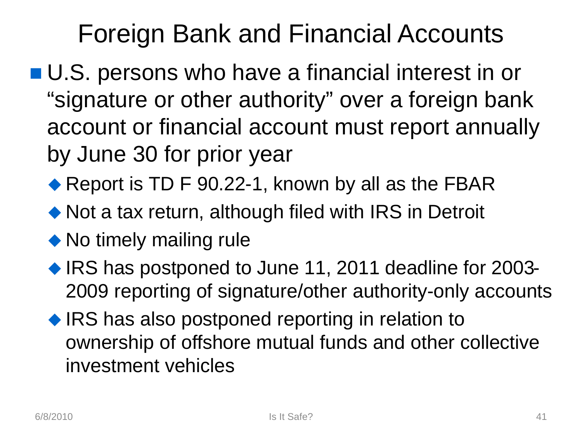# Foreign Bank and Financial Accounts

- U.S. persons who have a financial interest in or "signature or other authority" over a foreign bank account or financial account must report annually by June 30 for prior year
	- ◆ Report is TD F 90.22-1, known by all as the FBAR
	- ◆ Not a tax return, although filed with IRS in Detroit
	- No timely mailing rule
	- ◆ IRS has postponed to June 11, 2011 deadline for 2003-2009 reporting of signature/other authority-only accounts
	- ◆ IRS has also postponed reporting in relation to ownership of offshore mutual funds and other collective investment vehicles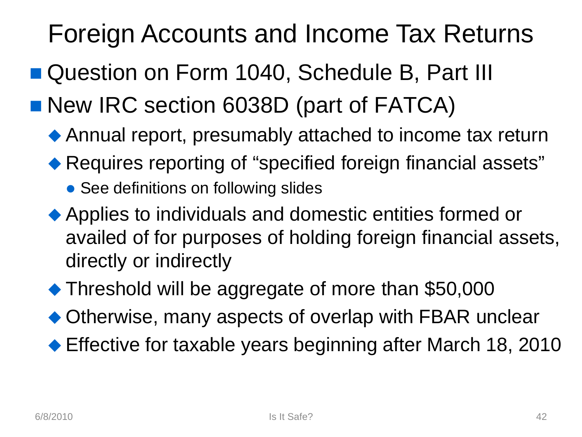# Foreign Accounts and Income Tax Returns

- Question on Form 1040, Schedule B, Part III
- New IRC section 6038D (part of FATCA)
	- Annual report, presumably attached to income tax return
	- ◆ Requires reporting of "specified foreign financial assets"
		- See definitions on following slides
	- Applies to individuals and domestic entities formed or availed of for purposes of holding foreign financial assets, directly or indirectly
	- ◆ Threshold will be aggregate of more than \$50,000
	- ◆ Otherwise, many aspects of overlap with FBAR unclear
	- ◆ Effective for taxable years beginning after March 18, 2010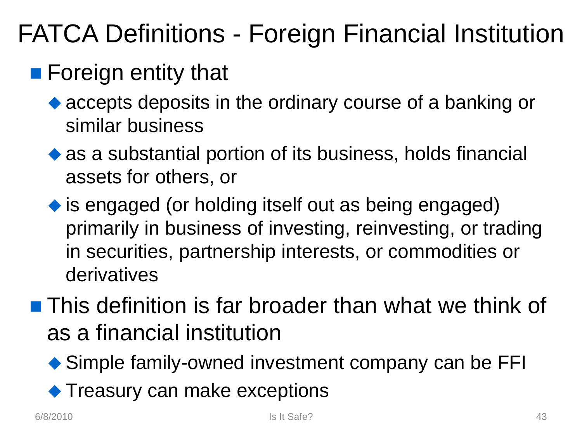# FATCA Definitions - Foreign Financial Institution

### **Foreign entity that**

- accepts deposits in the ordinary course of a banking or similar business
- as a substantial portion of its business, holds financial assets for others, or
- is engaged (or holding itself out as being engaged) primarily in business of investing, reinvesting, or trading in securities, partnership interests, or commodities or derivatives
- **This definition is far broader than what we think of** as a financial institution
	- ◆ Simple family-owned investment company can be FFI
	- ◆ Treasury can make exceptions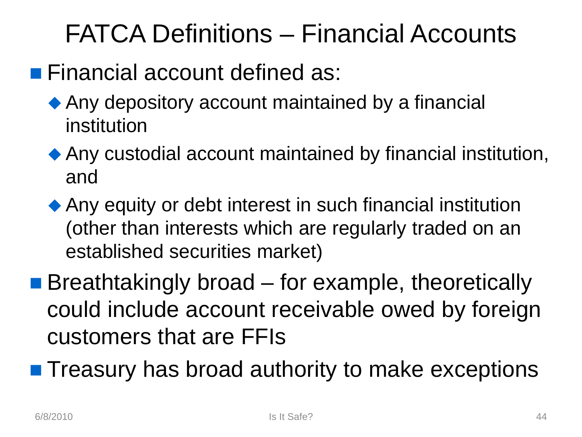# FATCA Definitions – Financial Accounts

#### **Financial account defined as:**

- ◆ Any depository account maintained by a financial institution
- Any custodial account maintained by financial institution, and
- Any equity or debt interest in such financial institution (other than interests which are regularly traded on an established securities market)
- **Breathtakingly broad for example, theoretically** could include account receivable owed by foreign customers that are FFIs
- **Treasury has broad authority to make exceptions**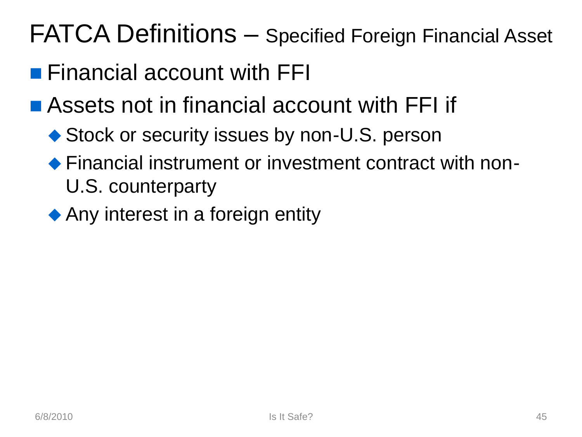# FATCA Definitions – Specified Foreign Financial Asset

- **Financial account with FFI**
- **Assets not in financial account with FFI if** 
	- ◆ Stock or security issues by non-U.S. person
	- ◆ Financial instrument or investment contract with non-U.S. counterparty
	- ◆ Any interest in a foreign entity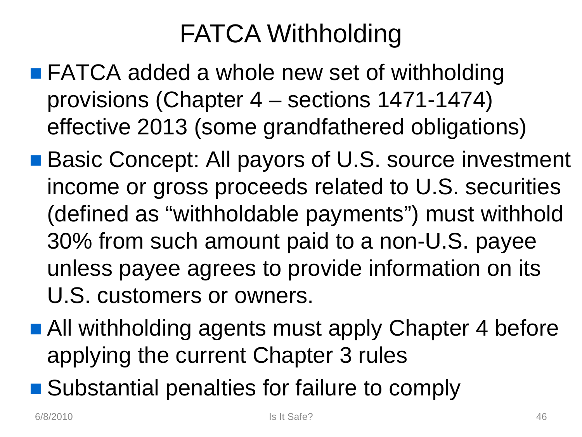# FATCA Withholding

- FATCA added a whole new set of withholding provisions (Chapter 4 – sections 1471-1474) effective 2013 (some grandfathered obligations)
- Basic Concept: All payors of U.S. source investment income or gross proceeds related to U.S. securities (defined as "withholdable payments") must withhold 30% from such amount paid to a non-U.S. payee unless payee agrees to provide information on its U.S. customers or owners.
- All withholding agents must apply Chapter 4 before applying the current Chapter 3 rules
- Substantial penalties for failure to comply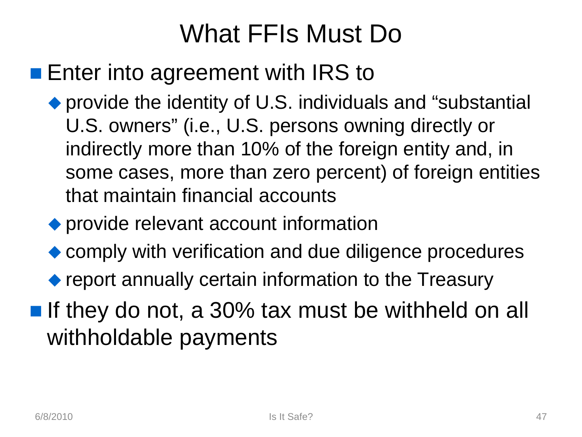# What FFIs Must Do

#### **Enter into agreement with IRS to**

- ◆ provide the identity of U.S. individuals and "substantial U.S. owners" (i.e., U.S. persons owning directly or indirectly more than 10% of the foreign entity and, in some cases, more than zero percent) of foreign entities that maintain financial accounts
- ◆ provide relevant account information
- ◆ comply with verification and due diligence procedures
- ◆ report annually certain information to the Treasury
- If they do not, a 30% tax must be withheld on all withholdable payments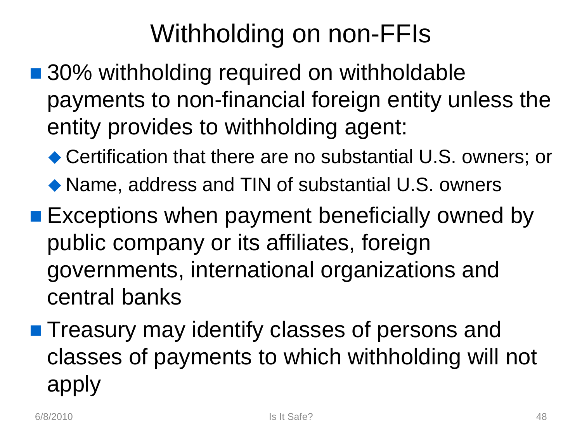# Withholding on non-FFIs

- 30% withholding required on withholdable payments to non-financial foreign entity unless the entity provides to withholding agent:
	- ◆ Certification that there are no substantial U.S. owners; or
	- ◆ Name, address and TIN of substantial U.S. owners
- **Exceptions when payment beneficially owned by** public company or its affiliates, foreign governments, international organizations and central banks
- **Treasury may identify classes of persons and** classes of payments to which withholding will not apply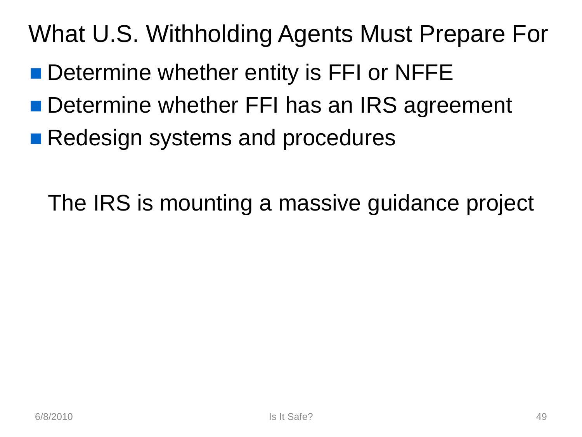# What U.S. Withholding Agents Must Prepare For

- Determine whether entity is FFI or NFFE
- Determine whether FFI has an IRS agreement
- Redesign systems and procedures

The IRS is mounting a massive guidance project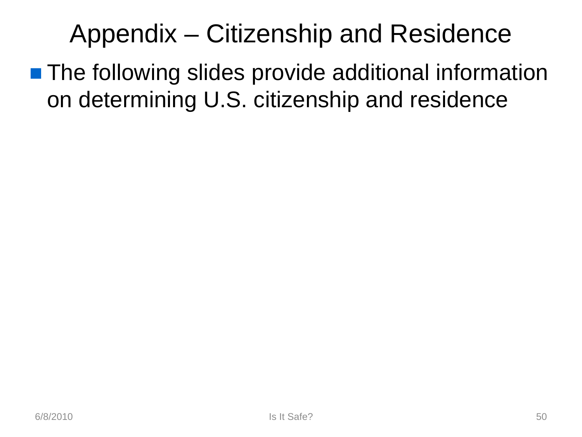# Appendix – Citizenship and Residence

**The following slides provide additional information** on determining U.S. citizenship and residence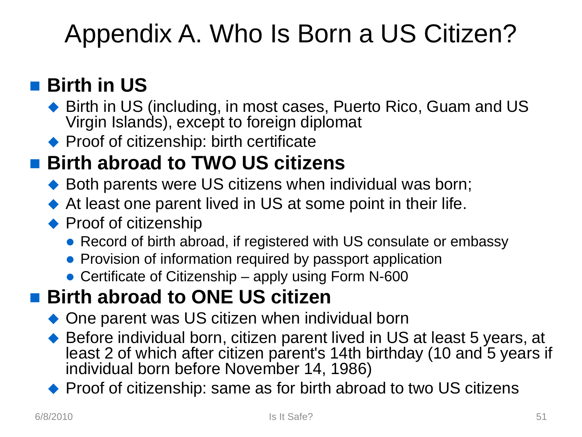# Appendix A. Who Is Born a US Citizen?

#### ■ Birth in US

- ◆ Birth in US (including, in most cases, Puerto Rico, Guam and US Virgin Islands), except to foreign diplomat
- ◆ Proof of citizenship: birth certificate

#### ■ Birth abroad to TWO US citizens

- ◆ Both parents were US citizens when individual was born;
- At least one parent lived in US at some point in their life.
- ◆ Proof of citizenship
	- Record of birth abroad, if registered with US consulate or embassy
	- Provision of information required by passport application
	- Certificate of Citizenship apply using Form N-600

#### ■ Birth abroad to ONE US citizen

- ◆ One parent was US citizen when individual born
- ◆ Before individual born, citizen parent lived in US at least 5 years, at least 2 of which after citizen parent's 14th birthday (10 and 5 years if individual born before November 14, 1986)
- ◆ Proof of citizenship: same as for birth abroad to two US citizens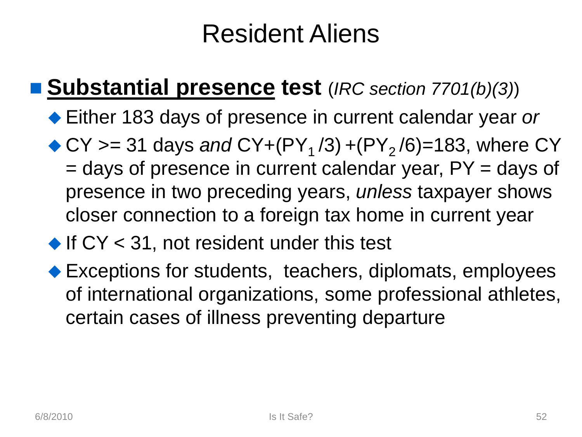# Resident Aliens

#### **Substantial presence test** (*IRC section 7701(b)(3)*)

- Either 183 days of presence in current calendar year *or*
- $\bullet$  CY  $\geq$  31 days *and* CY+(PY<sub>1</sub>/3) +(PY<sub>2</sub>/6)=183, where CY = days of presence in current calendar year, PY = days of presence in two preceding years, *unless* taxpayer shows closer connection to a foreign tax home in current year

#### If  $CY < 31$ , not resident under this test

◆ Exceptions for students, teachers, diplomats, employees of international organizations, some professional athletes, certain cases of illness preventing departure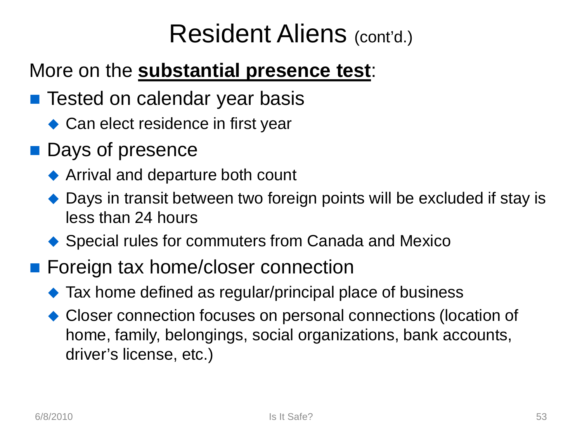## Resident Aliens (cont'd.)

#### More on the **substantial presence test**:

- Tested on calendar year basis
	- ◆ Can elect residence in first year
- **Days of presence** 
	- ◆ Arrival and departure both count
	- ◆ Days in transit between two foreign points will be excluded if stay is less than 24 hours
	- ◆ Special rules for commuters from Canada and Mexico
- Foreign tax home/closer connection
	- ◆ Tax home defined as regular/principal place of business
	- ◆ Closer connection focuses on personal connections (location of home, family, belongings, social organizations, bank accounts, driver's license, etc.)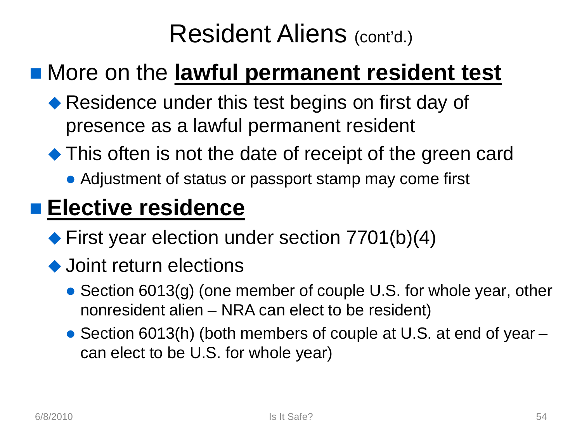# Resident Aliens (cont'd.)

### More on the **lawful permanent resident test**

- ◆ Residence under this test begins on first day of presence as a lawful permanent resident
- This often is not the date of receipt of the green card
	- Adjustment of status or passport stamp may come first

#### **Elective residence**

- ◆ First year election under section 7701(b)(4)
- ◆ Joint return elections
	- Section 6013(g) (one member of couple U.S. for whole year, other nonresident alien – NRA can elect to be resident)
	- Section 6013(h) (both members of couple at U.S. at end of year can elect to be U.S. for whole year)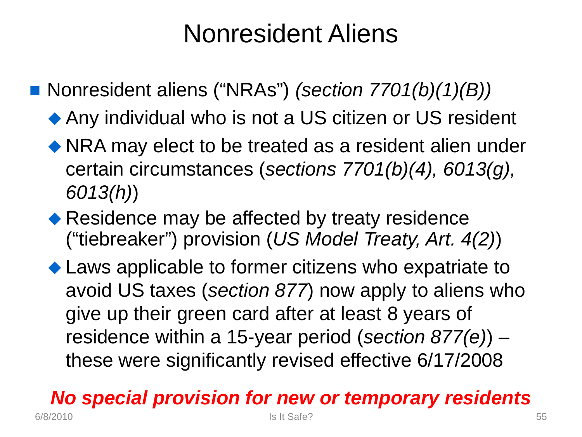# Nonresident Aliens

■ Nonresident aliens ("NRAs") *(section 7701(b)(1)(B))* 

- ◆ Any individual who is not a US citizen or US resident
- NRA may elect to be treated as a resident alien under certain circumstances (*sections 7701(b)(4), 6013(g), 6013(h)*)
- ◆ Residence may be affected by treaty residence ("tiebreaker") provision (*US Model Treaty, Art. 4(2)*)
- ◆ Laws applicable to former citizens who expatriate to avoid US taxes (*section 877*) now apply to aliens who give up their green card after at least 8 years of residence within a 15-year period (*section 877(e)*) – these were significantly revised effective 6/17/2008

#### *No special provision for new or temporary residents* 6/8/2010 Is It Safe?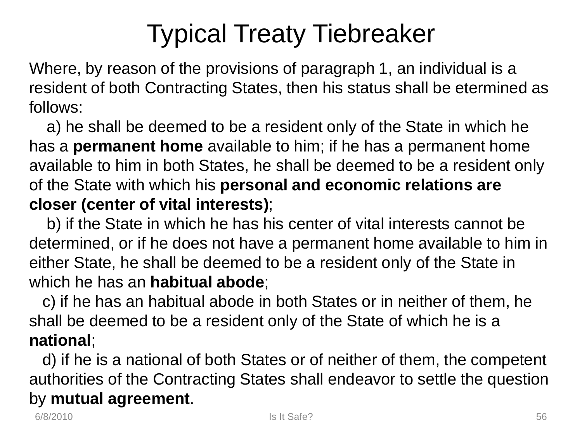# Typical Treaty Tiebreaker

Where, by reason of the provisions of paragraph 1, an individual is a resident of both Contracting States, then his status shall be etermined as follows:

a) he shall be deemed to be a resident only of the State in which he has a **permanent home** available to him; if he has a permanent home available to him in both States, he shall be deemed to be a resident only of the State with which his **personal and economic relations are closer (center of vital interests)**;

b) if the State in which he has his center of vital interests cannot be determined, or if he does not have a permanent home available to him in either State, he shall be deemed to be a resident only of the State in which he has an **habitual abode**;

c) if he has an habitual abode in both States or in neither of them, he shall be deemed to be a resident only of the State of which he is a **national**;

d) if he is a national of both States or of neither of them, the competent authorities of the Contracting States shall endeavor to settle the question by **mutual agreement**.